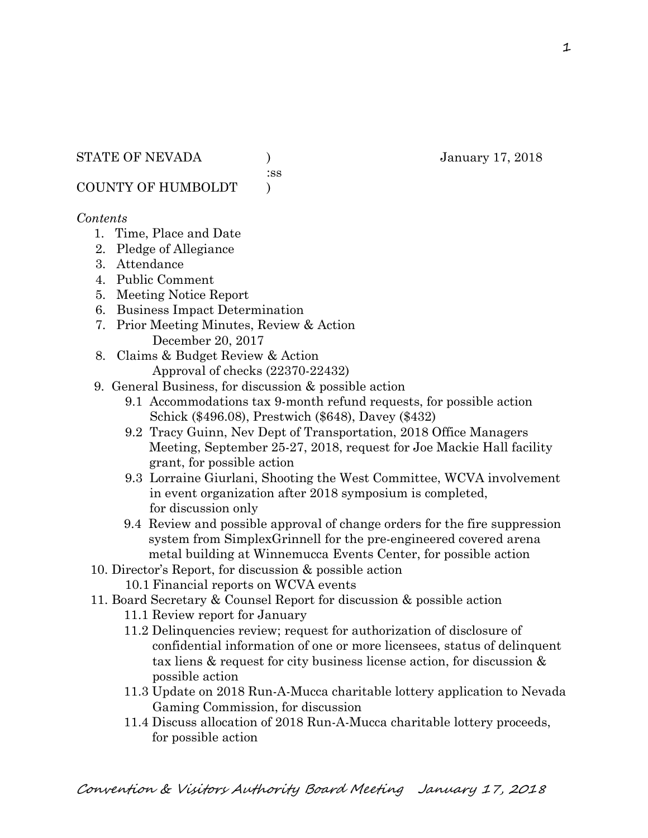:ss

COUNTY OF HUMBOLDT )

# *Contents*

- 1. Time, Place and Date
- 2. Pledge of Allegiance
- 3. Attendance
- 4. Public Comment
- 5. Meeting Notice Report
- 6. Business Impact Determination
- 7. Prior Meeting Minutes, Review & Action December 20, 2017
- 8. Claims & Budget Review & Action
	- Approval of checks (22370-22432)
- 9. General Business, for discussion & possible action
	- 9.1 Accommodations tax 9-month refund requests, for possible action Schick (\$496.08), Prestwich (\$648), Davey (\$432)
	- 9.2 Tracy Guinn, Nev Dept of Transportation, 2018 Office Managers Meeting, September 25-27, 2018, request for Joe Mackie Hall facility grant, for possible action
	- 9.3 Lorraine Giurlani, Shooting the West Committee, WCVA involvement in event organization after 2018 symposium is completed, for discussion only
	- 9.4 Review and possible approval of change orders for the fire suppression system from SimplexGrinnell for the pre-engineered covered arena metal building at Winnemucca Events Center, for possible action
- 10. Director's Report, for discussion & possible action
	- 10.1 Financial reports on WCVA events
- 11. Board Secretary & Counsel Report for discussion & possible action
	- 11.1 Review report for January
	- 11.2 Delinquencies review; request for authorization of disclosure of confidential information of one or more licensees, status of delinquent tax liens & request for city business license action, for discussion & possible action
	- 11.3 Update on 2018 Run-A-Mucca charitable lottery application to Nevada Gaming Commission, for discussion
	- 11.4 Discuss allocation of 2018 Run-A-Mucca charitable lottery proceeds, for possible action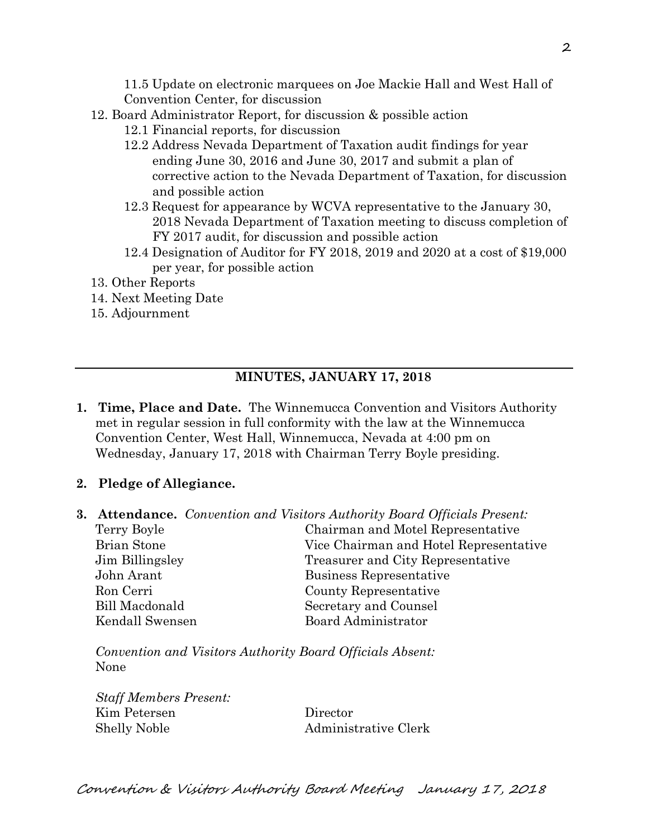11.5 Update on electronic marquees on Joe Mackie Hall and West Hall of Convention Center, for discussion

- 12. Board Administrator Report, for discussion & possible action
	- 12.1 Financial reports, for discussion
	- 12.2 Address Nevada Department of Taxation audit findings for year ending June 30, 2016 and June 30, 2017 and submit a plan of corrective action to the Nevada Department of Taxation, for discussion and possible action
	- 12.3 Request for appearance by WCVA representative to the January 30, 2018 Nevada Department of Taxation meeting to discuss completion of FY 2017 audit, for discussion and possible action
	- 12.4 Designation of Auditor for FY 2018, 2019 and 2020 at a cost of \$19,000 per year, for possible action
- 13. Other Reports
- 14. Next Meeting Date
- 15. Adjournment

# **MINUTES, JANUARY 17, 2018**

- **1. Time, Place and Date.** The Winnemucca Convention and Visitors Authority met in regular session in full conformity with the law at the Winnemucca Convention Center, West Hall, Winnemucca, Nevada at 4:00 pm on Wednesday, January 17, 2018 with Chairman Terry Boyle presiding.
- **2. Pledge of Allegiance.**
- **3. Attendance.** *Convention and Visitors Authority Board Officials Present:*

| Terry Boyle           | Chairman and Motel Representative      |  |
|-----------------------|----------------------------------------|--|
| Brian Stone           | Vice Chairman and Hotel Representative |  |
| Jim Billingsley       | Treasurer and City Representative      |  |
| John Arant            | Business Representative                |  |
| Ron Cerri             | County Representative                  |  |
| <b>Bill Macdonald</b> | Secretary and Counsel                  |  |
| Kendall Swensen       | <b>Board Administrator</b>             |  |

*Convention and Visitors Authority Board Officials Absent:*  None

*Staff Members Present:*  Kim Petersen Director Shelly Noble Administrative Clerk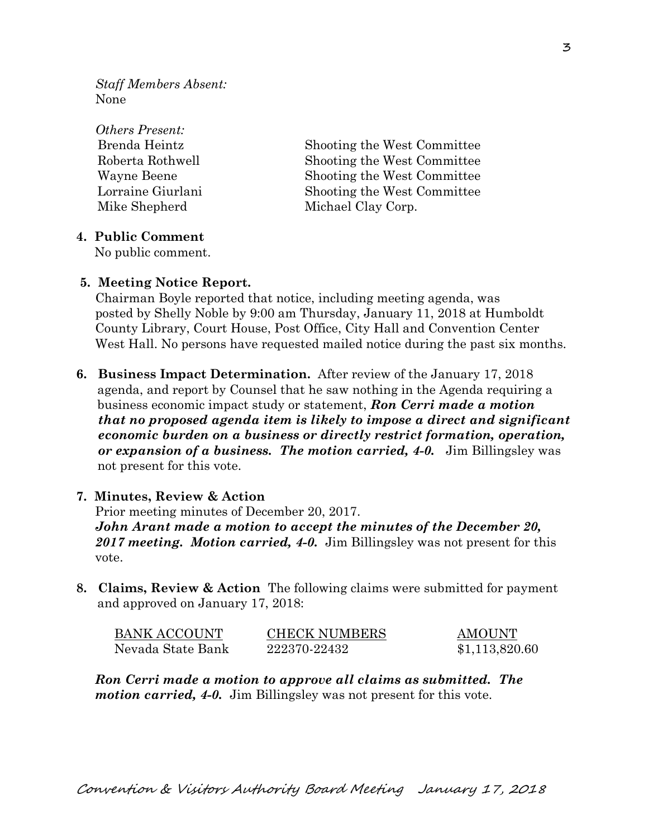*Staff Members Absent:*  None

*Others Present:*  Mike Shepherd Michael Clay Corp.

 Brenda Heintz Shooting the West Committee Roberta Rothwell Shooting the West Committee Wayne Beene Shooting the West Committee Lorraine Giurlani Shooting the West Committee

#### **4. Public Comment**

No public comment.

#### **5. Meeting Notice Report.**

Chairman Boyle reported that notice, including meeting agenda, was posted by Shelly Noble by 9:00 am Thursday, January 11, 2018 at Humboldt County Library, Court House, Post Office, City Hall and Convention Center West Hall. No persons have requested mailed notice during the past six months.

**6. Business Impact Determination.** After review of the January 17, 2018 agenda, and report by Counsel that he saw nothing in the Agenda requiring a business economic impact study or statement, *Ron Cerri made a motion that no proposed agenda item is likely to impose a direct and significant economic burden on a business or directly restrict formation, operation, or expansion of a business. The motion carried, 4-0.* Jim Billingsley was not present for this vote.

## **7. Minutes, Review & Action**

Prior meeting minutes of December 20, 2017. *John Arant made a motion to accept the minutes of the December 20, 2017 meeting. Motion carried, 4-0.* Jim Billingsley was not present for this vote.

**8. Claims, Review & Action** The following claims were submitted for payment and approved on January 17, 2018:

| <b>BANK ACCOUNT</b> | <b>CHECK NUMBERS</b> | <b>AMOUNT</b>  |
|---------------------|----------------------|----------------|
| Nevada State Bank   | 222370-22432         | \$1,113,820.60 |

*Ron Cerri made a motion to approve all claims as submitted. The motion carried, 4-0.* Jim Billingsley was not present for this vote.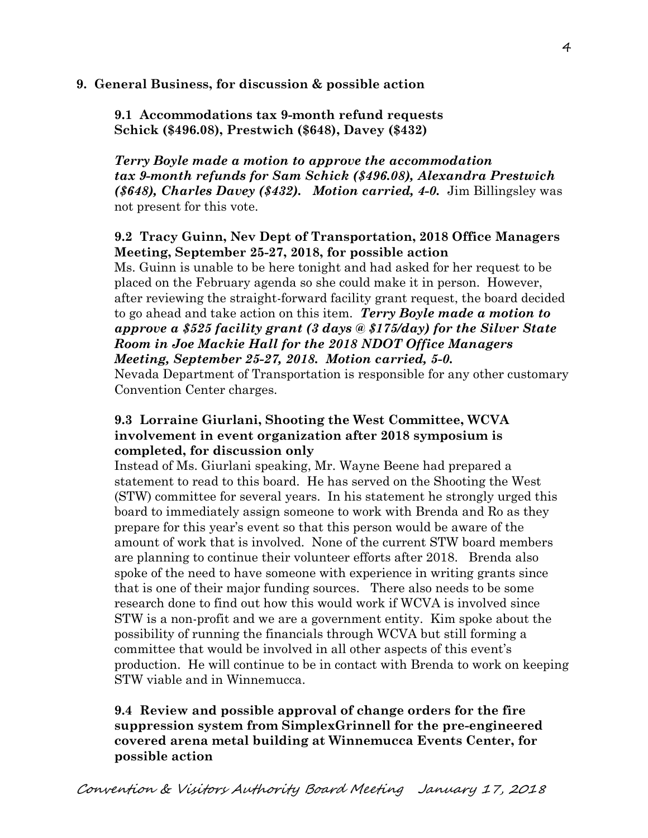# **9. General Business, for discussion & possible action**

**9.1 Accommodations tax 9-month refund requests Schick (\$496.08), Prestwich (\$648), Davey (\$432)** 

*Terry Boyle made a motion to approve the accommodation tax 9-month refunds for Sam Schick (\$496.08), Alexandra Prestwich (\$648), Charles Davey (\$432). Motion carried, 4-0.* Jim Billingsley was not present for this vote.

# **9.2 Tracy Guinn, Nev Dept of Transportation, 2018 Office Managers Meeting, September 25-27, 2018, for possible action**

Ms. Guinn is unable to be here tonight and had asked for her request to be placed on the February agenda so she could make it in person. However, after reviewing the straight-forward facility grant request, the board decided to go ahead and take action on this item. *Terry Boyle made a motion to approve a \$525 facility grant (3 days @ \$175/day) for the Silver State Room in Joe Mackie Hall for the 2018 NDOT Office Managers Meeting, September 25-27, 2018. Motion carried, 5-0.* 

Nevada Department of Transportation is responsible for any other customary Convention Center charges.

# **9.3 Lorraine Giurlani, Shooting the West Committee, WCVA involvement in event organization after 2018 symposium is completed, for discussion only**

Instead of Ms. Giurlani speaking, Mr. Wayne Beene had prepared a statement to read to this board. He has served on the Shooting the West (STW) committee for several years. In his statement he strongly urged this board to immediately assign someone to work with Brenda and Ro as they prepare for this year's event so that this person would be aware of the amount of work that is involved. None of the current STW board members are planning to continue their volunteer efforts after 2018. Brenda also spoke of the need to have someone with experience in writing grants since that is one of their major funding sources. There also needs to be some research done to find out how this would work if WCVA is involved since STW is a non-profit and we are a government entity. Kim spoke about the possibility of running the financials through WCVA but still forming a committee that would be involved in all other aspects of this event's production. He will continue to be in contact with Brenda to work on keeping STW viable and in Winnemucca.

# **9.4 Review and possible approval of change orders for the fire suppression system from SimplexGrinnell for the pre-engineered covered arena metal building at Winnemucca Events Center, for possible action**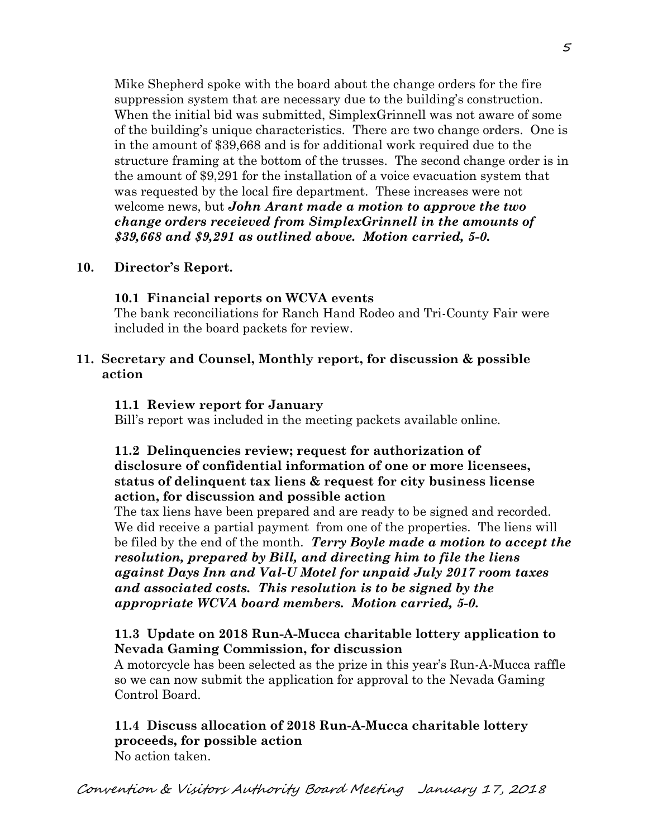Mike Shepherd spoke with the board about the change orders for the fire suppression system that are necessary due to the building's construction. When the initial bid was submitted, SimplexGrinnell was not aware of some of the building's unique characteristics. There are two change orders. One is in the amount of \$39,668 and is for additional work required due to the structure framing at the bottom of the trusses. The second change order is in the amount of \$9,291 for the installation of a voice evacuation system that was requested by the local fire department. These increases were not welcome news, but *John Arant made a motion to approve the two change orders receieved from SimplexGrinnell in the amounts of \$39,668 and \$9,291 as outlined above. Motion carried, 5-0.* 

# **10. Director's Report.**

## **10.1 Financial reports on WCVA events**

The bank reconciliations for Ranch Hand Rodeo and Tri-County Fair were included in the board packets for review.

## **11. Secretary and Counsel, Monthly report, for discussion & possible action**

#### **11.1 Review report for January**

Bill's report was included in the meeting packets available online.

# **11.2 Delinquencies review; request for authorization of disclosure of confidential information of one or more licensees, status of delinquent tax liens & request for city business license action, for discussion and possible action**

The tax liens have been prepared and are ready to be signed and recorded. We did receive a partial payment from one of the properties. The liens will be filed by the end of the month. *Terry Boyle made a motion to accept the resolution, prepared by Bill, and directing him to file the liens against Days Inn and Val-U Motel for unpaid July 2017 room taxes and associated costs. This resolution is to be signed by the appropriate WCVA board members. Motion carried, 5-0.* 

# **11.3 Update on 2018 Run-A-Mucca charitable lottery application to Nevada Gaming Commission, for discussion**

A motorcycle has been selected as the prize in this year's Run-A-Mucca raffle so we can now submit the application for approval to the Nevada Gaming Control Board.

# **11.4 Discuss allocation of 2018 Run-A-Mucca charitable lottery proceeds, for possible action**

No action taken.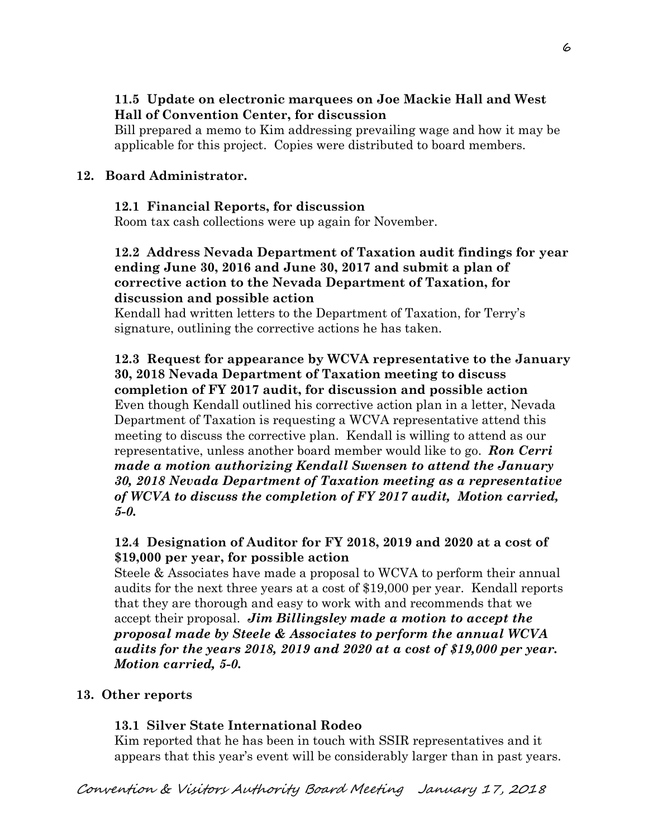# **11.5 Update on electronic marquees on Joe Mackie Hall and West Hall of Convention Center, for discussion**

Bill prepared a memo to Kim addressing prevailing wage and how it may be applicable for this project. Copies were distributed to board members.

# **12. Board Administrator.**

## **12.1 Financial Reports, for discussion**

Room tax cash collections were up again for November.

# **12.2 Address Nevada Department of Taxation audit findings for year ending June 30, 2016 and June 30, 2017 and submit a plan of corrective action to the Nevada Department of Taxation, for discussion and possible action**

Kendall had written letters to the Department of Taxation, for Terry's signature, outlining the corrective actions he has taken.

# **12.3 Request for appearance by WCVA representative to the January 30, 2018 Nevada Department of Taxation meeting to discuss completion of FY 2017 audit, for discussion and possible action**  Even though Kendall outlined his corrective action plan in a letter, Nevada Department of Taxation is requesting a WCVA representative attend this

meeting to discuss the corrective plan. Kendall is willing to attend as our representative, unless another board member would like to go. *Ron Cerri made a motion authorizing Kendall Swensen to attend the January 30, 2018 Nevada Department of Taxation meeting as a representative of WCVA to discuss the completion of FY 2017 audit, Motion carried, 5-0.* 

# **12.4 Designation of Auditor for FY 2018, 2019 and 2020 at a cost of \$19,000 per year, for possible action**

Steele & Associates have made a proposal to WCVA to perform their annual audits for the next three years at a cost of \$19,000 per year. Kendall reports that they are thorough and easy to work with and recommends that we accept their proposal. *Jim Billingsley made a motion to accept the proposal made by Steele & Associates to perform the annual WCVA audits for the years 2018, 2019 and 2020 at a cost of \$19,000 per year. Motion carried, 5-0.* 

# **13. Other reports**

# **13.1 Silver State International Rodeo**

Kim reported that he has been in touch with SSIR representatives and it appears that this year's event will be considerably larger than in past years.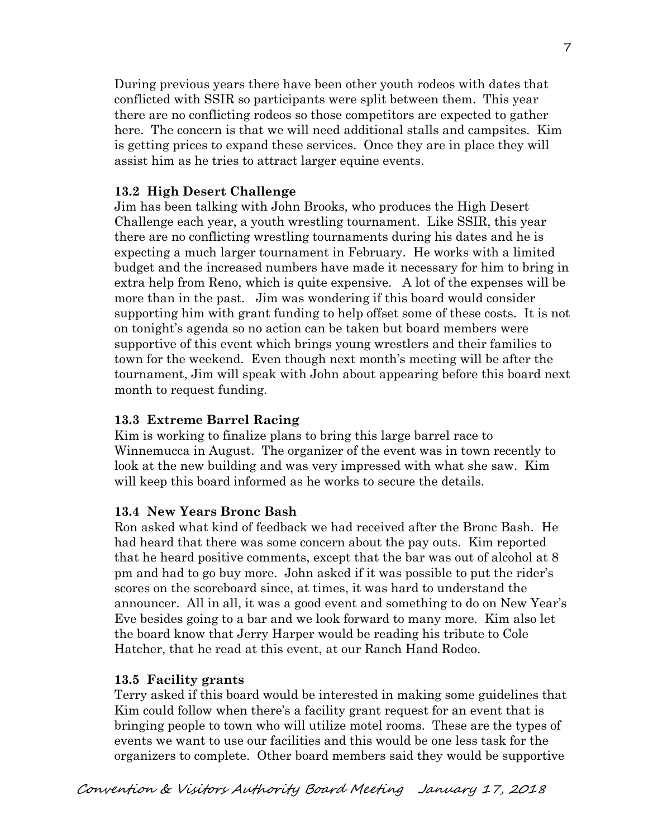During previous years there have been other youth rodeos with dates that conflicted with SSIR so participants were split between them. This year there are no conflicting rodeos so those competitors are expected to gather here. The concern is that we will need additional stalls and campsites. Kim is getting prices to expand these services. Once they are in place they will assist him as he tries to attract larger equine events.

## **13.2 High Desert Challenge**

Jim has been talking with John Brooks, who produces the High Desert Challenge each year, a youth wrestling tournament. Like SSIR, this year there are no conflicting wrestling tournaments during his dates and he is expecting a much larger tournament in February. He works with a limited budget and the increased numbers have made it necessary for him to bring in extra help from Reno, which is quite expensive. A lot of the expenses will be more than in the past. Jim was wondering if this board would consider supporting him with grant funding to help offset some of these costs. It is not on tonight's agenda so no action can be taken but board members were supportive of this event which brings young wrestlers and their families to town for the weekend. Even though next month's meeting will be after the tournament, Jim will speak with John about appearing before this board next month to request funding.

#### **13.3 Extreme Barrel Racing**

Kim is working to finalize plans to bring this large barrel race to Winnemucca in August. The organizer of the event was in town recently to look at the new building and was very impressed with what she saw. Kim will keep this board informed as he works to secure the details.

#### **13.4 New Years Bronc Bash**

Ron asked what kind of feedback we had received after the Bronc Bash. He had heard that there was some concern about the pay outs. Kim reported that he heard positive comments, except that the bar was out of alcohol at 8 pm and had to go buy more. John asked if it was possible to put the rider's scores on the scoreboard since, at times, it was hard to understand the announcer. All in all, it was a good event and something to do on New Year's Eve besides going to a bar and we look forward to many more. Kim also let the board know that Jerry Harper would be reading his tribute to Cole Hatcher, that he read at this event, at our Ranch Hand Rodeo.

#### **13.5 Facility grants**

Terry asked if this board would be interested in making some guidelines that Kim could follow when there's a facility grant request for an event that is bringing people to town who will utilize motel rooms. These are the types of events we want to use our facilities and this would be one less task for the organizers to complete. Other board members said they would be supportive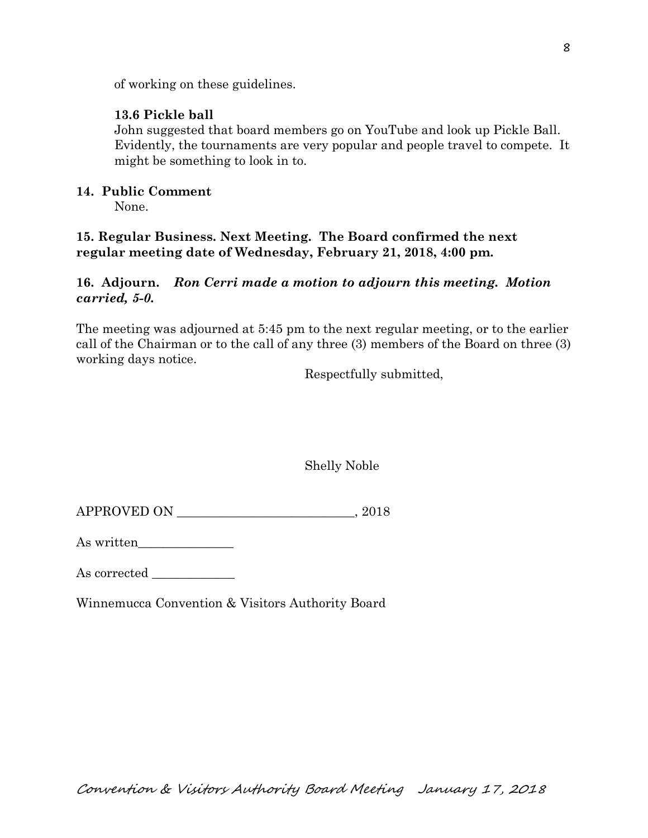of working on these guidelines.

# **13.6 Pickle ball**

John suggested that board members go on YouTube and look up Pickle Ball. Evidently, the tournaments are very popular and people travel to compete. It might be something to look in to.

# **14. Public Comment**

None.

# **15. Regular Business. Next Meeting. The Board confirmed the next regular meeting date of Wednesday, February 21, 2018, 4:00 pm.**

# **16. Adjourn.** *Ron Cerri made a motion to adjourn this meeting. Motion carried, 5-0.*

The meeting was adjourned at 5:45 pm to the next regular meeting, or to the earlier call of the Chairman or to the call of any three (3) members of the Board on three (3) working days notice.

Respectfully submitted,

Shelly Noble

APPROVED ON \_\_\_\_\_\_\_\_\_\_\_\_\_\_\_\_\_\_\_\_\_\_\_\_\_\_\_\_, 2018

As written\_\_\_\_\_\_\_\_\_\_\_\_\_\_\_

As corrected

Winnemucca Convention & Visitors Authority Board